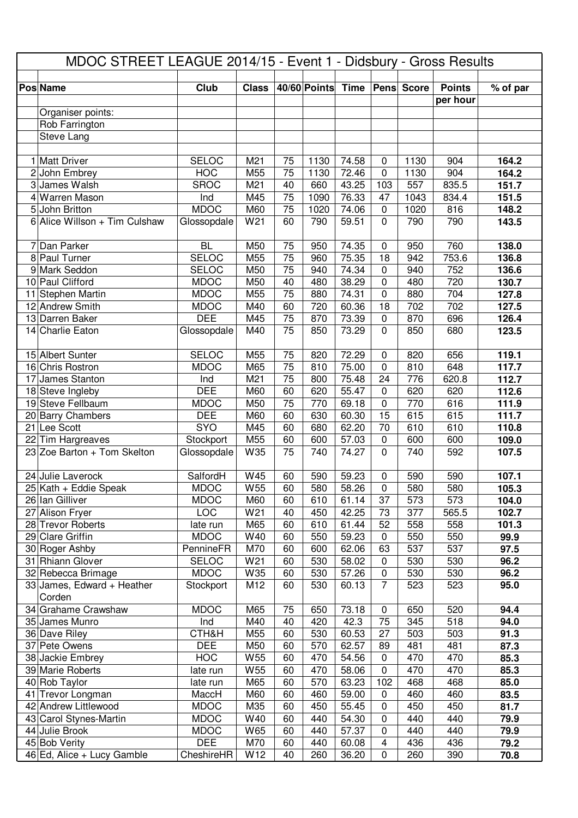| 40/60 Points<br><b>Pens</b> Score<br><b>Pos Name</b><br>Club<br><b>Class</b><br><b>Time</b><br><b>Points</b><br>% of par<br>per hour<br>Organiser points:<br>Rob Farrington<br>Steve Lang<br>1 Matt Driver<br>M21<br>74.58<br>164.2<br><b>SELOC</b><br>75<br>1130<br>1130<br>904<br>$\boldsymbol{0}$<br>164.2<br><b>HOC</b><br>M55<br>75<br>1130<br>72.46<br>$\mathbf 0$<br>1130<br>904<br>2 John Embrey<br><b>SROC</b><br>43.25<br>557<br>835.5<br>3 James Walsh<br>M21<br>40<br>660<br>103<br>151.7<br>75<br>76.33<br>4 Warren Mason<br>Ind<br>M45<br>1090<br>1043<br>834.4<br>47<br>151.5<br><b>MDOC</b><br>75<br>5 John Britton<br>M60<br>1020<br>74.06<br>1020<br>816<br>148.2<br>$\mathbf 0$<br>$6$ Alice Willson + Tim Culshaw<br>Glossopdale<br>W21<br>143.5<br>60<br>790<br>59.51<br>$\mathbf 0$<br>790<br>790<br>7 Dan Parker<br><b>BL</b><br>M50<br>75<br>74.35<br>950<br>760<br>950<br>138.0<br>0<br>136.8<br><b>SELOC</b><br>M55<br>75<br>75.35<br>753.6<br>8 Paul Turner<br>960<br>18<br>942<br>75<br>9 Mark Seddon<br><b>SELOC</b><br>M50<br>74.34<br>940<br>752<br>136.6<br>940<br>$\mathbf 0$<br>38.29<br>720<br>10 Paul Clifford<br><b>MDOC</b><br>M50<br>40<br>480<br>480<br>130.7<br>$\mathbf 0$<br>127.8<br>75<br>704<br>11 Stephen Martin<br><b>MDOC</b><br>M55<br>880<br>74.31<br>$\mathbf 0$<br>880<br>702<br>702<br>127.5<br>12 Andrew Smith<br><b>MDOC</b><br>M40<br>60<br>720<br>60.36<br>18<br><b>DEE</b><br>13 Darren Baker<br>M45<br>75<br>870<br>73.39<br>870<br>696<br>126.4<br>$\mathbf 0$<br>M40<br>75<br>850<br>73.29<br>850<br>680<br>123.5<br>14 Charlie Eaton<br>Glossopdale<br>0<br>15 Albert Sunter<br><b>SELOC</b><br>M55<br>72.29<br>820<br>119.1<br>75<br>820<br>656<br>$\mathbf 0$<br><b>MDOC</b><br>75<br>75.00<br>810<br>16 Chris Rostron<br>M65<br>810<br>$\mathbf 0$<br>648<br>117.7<br>75<br>776<br>112.7<br>17 James Stanton<br>Ind<br>M21<br>800<br>75.48<br>24<br>620.8<br><b>DEE</b><br>18 Steve Ingleby<br>M60<br>60<br>620<br>55.47<br>620<br>620<br>112.6<br>$\mathbf 0$<br>19 Steve Fellbaum<br><b>MDOC</b><br>75<br>69.18<br>616<br>M50<br>770<br>$\mathbf 0$<br>770<br>111.9<br><b>DEE</b><br>15<br>M60<br>60<br>630<br>60.30<br>615<br>615<br>20 Barry Chambers<br>111.7<br>21 Lee Scott<br>SYO<br>680<br>M45<br>60<br>62.20<br>70<br>610<br>610<br>110.8<br>M55<br>57.03<br>22 Tim Hargreaves<br>Stockport<br>60<br>600<br>$\pmb{0}$<br>600<br>600<br>109.0<br>23 Zoe Barton $+$ Tom Skelton<br>W35<br>740<br>74.27<br>$\mathbf 0$<br>740<br>592<br>107.5<br>Glossopdale<br>75<br>W45<br>59.23<br>24 Julie Laverock<br>SalfordH<br>590<br>$\mathbf 0$<br>590<br>590<br>107.1<br>60<br>25 Kath + Eddie Speak<br>W <sub>55</sub><br>60<br>580<br>58.26<br>580<br>580<br>105.3<br><b>MDOC</b><br>$\pmb{0}$<br><b>MDOC</b><br>M60<br>37<br>573<br>26 Ian Gilliver<br>60<br>610<br>61.14<br>573<br>104.0<br>102.7<br><b>LOC</b><br>W21<br>27 Alison Fryer<br>40<br>450<br>42.25<br>73<br>377<br>565.5<br>28 Trevor Roberts<br>M65<br>60<br>610<br>61.44<br>52<br>558<br>558<br>101.3<br>late run<br>29 Clare Griffin<br><b>MDOC</b><br>W40<br>550<br>550<br>60<br>59.23<br>550<br>99.9<br>$\mathbf 0$<br>537<br>30 Roger Ashby<br>PennineFR<br>M70<br>600<br>63<br>537<br>97.5<br>60<br>62.06<br>31 Rhiann Glover<br>W21<br><b>SELOC</b><br>60<br>530<br>58.02<br>530<br>530<br>$\mathbf 0$<br>96.2<br>32 Rebecca Brimage<br><b>MDOC</b><br>W35<br>530<br>530<br>60<br>57.26<br>$\mathbf 0$<br>530<br>96.2<br>$\overline{7}$<br>$33$ James, Edward + Heather<br>Stockport<br>M12<br>60<br>530<br>60.13<br>523<br>523<br>95.0<br>Corden<br>34 Grahame Crawshaw<br><b>MDOC</b><br>M65<br>75<br>73.18<br>$\pmb{0}$<br>520<br>650<br>650<br>94.4<br>M40<br>420<br>42.3<br>75<br>518<br>35 James Munro<br>Ind<br>40<br>345<br>94.0<br>CTH&H<br>M55<br>91.3<br>36 Dave Riley<br>60<br>530<br>60.53<br>27<br>503<br>503<br>37 Pete Owens<br><b>DEE</b><br>M50<br>60<br>570<br>62.57<br>481<br>89<br>481<br>87.3<br><b>HOC</b><br>60<br>470<br>38 Jackie Embrey<br>W55<br>470<br>54.56<br>$\mathbf 0$<br>470<br>85.3<br>39 Marie Roberts<br>W55<br>470<br>$\pmb{0}$<br>470<br>470<br>85.3<br>late run<br>60<br>58.06<br>40 Rob Taylor<br>M65<br>60<br>570<br>102<br>468<br>468<br>85.0<br>late run<br>63.23<br>460<br>41 Trevor Longman<br>MaccH<br>M60<br>60<br>460<br>59.00<br>460<br>0<br>83.5<br>42 Andrew Littlewood<br>M35<br>450<br>55.45<br>450<br><b>MDOC</b><br>60<br>450<br>$\boldsymbol{0}$<br>81.7<br>W40<br>43 Carol Stynes-Martin<br><b>MDOC</b><br>60<br>440<br>54.30<br>$\mathbf 0$<br>440<br>440<br>79.9<br><b>MDOC</b><br>W65<br>44 Julie Brook<br>60<br>440<br>57.37<br>440<br>440<br>79.9<br>$\mathbf 0$<br><b>DEE</b><br>45 Bob Verity<br>M70<br>$\overline{\mathbf{4}}$<br>60<br>440<br>60.08<br>436<br>436<br>79.2<br>46 Ed, Alice + Lucy Gamble<br>CheshireHR<br>W12<br>40<br>260<br>36.20<br>$\pmb{0}$<br>260<br>390<br>70.8 | MDOC STREET LEAGUE 2014/15 - Event 1 - Didsbury - Gross Results |  |  |  |  |  |  |  |  |  |  |  |
|--------------------------------------------------------------------------------------------------------------------------------------------------------------------------------------------------------------------------------------------------------------------------------------------------------------------------------------------------------------------------------------------------------------------------------------------------------------------------------------------------------------------------------------------------------------------------------------------------------------------------------------------------------------------------------------------------------------------------------------------------------------------------------------------------------------------------------------------------------------------------------------------------------------------------------------------------------------------------------------------------------------------------------------------------------------------------------------------------------------------------------------------------------------------------------------------------------------------------------------------------------------------------------------------------------------------------------------------------------------------------------------------------------------------------------------------------------------------------------------------------------------------------------------------------------------------------------------------------------------------------------------------------------------------------------------------------------------------------------------------------------------------------------------------------------------------------------------------------------------------------------------------------------------------------------------------------------------------------------------------------------------------------------------------------------------------------------------------------------------------------------------------------------------------------------------------------------------------------------------------------------------------------------------------------------------------------------------------------------------------------------------------------------------------------------------------------------------------------------------------------------------------------------------------------------------------------------------------------------------------------------------------------------------------------------------------------------------------------------------------------------------------------------------------------------------------------------------------------------------------------------------------------------------------------------------------------------------------------------------------------------------------------------------------------------------------------------------------------------------------------------------------------------------------------------------------------------------------------------------------------------------------------------------------------------------------------------------------------------------------------------------------------------------------------------------------------------------------------------------------------------------------------------------------------------------------------------------------------------------------------------------------------------------------------------------------------------------------------------------------------------------------------------------------------------------------------------------------------------------------------------------------------------------------------------------------------------------------------------------------------------------------------------------------------------------------------------------------------------------------------------------------------------------------------------------------------------------------------------------------------------------------------------------------------------------------------------------------------------------------------------------------------------------------------------------------------------------------------------------------------------------------------------------------------------------------------------------------------------------------------------------------------------------------------------------------------------------------------------------------------------------------------------------------------------------------------------------------------------------------------------------------------------|-----------------------------------------------------------------|--|--|--|--|--|--|--|--|--|--|--|
|                                                                                                                                                                                                                                                                                                                                                                                                                                                                                                                                                                                                                                                                                                                                                                                                                                                                                                                                                                                                                                                                                                                                                                                                                                                                                                                                                                                                                                                                                                                                                                                                                                                                                                                                                                                                                                                                                                                                                                                                                                                                                                                                                                                                                                                                                                                                                                                                                                                                                                                                                                                                                                                                                                                                                                                                                                                                                                                                                                                                                                                                                                                                                                                                                                                                                                                                                                                                                                                                                                                                                                                                                                                                                                                                                                                                                                                                                                                                                                                                                                                                                                                                                                                                                                                                                                                                                                                                                                                                                                                                                                                                                                                                                                                                                                                                                                                                                                        |                                                                 |  |  |  |  |  |  |  |  |  |  |  |
|                                                                                                                                                                                                                                                                                                                                                                                                                                                                                                                                                                                                                                                                                                                                                                                                                                                                                                                                                                                                                                                                                                                                                                                                                                                                                                                                                                                                                                                                                                                                                                                                                                                                                                                                                                                                                                                                                                                                                                                                                                                                                                                                                                                                                                                                                                                                                                                                                                                                                                                                                                                                                                                                                                                                                                                                                                                                                                                                                                                                                                                                                                                                                                                                                                                                                                                                                                                                                                                                                                                                                                                                                                                                                                                                                                                                                                                                                                                                                                                                                                                                                                                                                                                                                                                                                                                                                                                                                                                                                                                                                                                                                                                                                                                                                                                                                                                                                                        |                                                                 |  |  |  |  |  |  |  |  |  |  |  |
|                                                                                                                                                                                                                                                                                                                                                                                                                                                                                                                                                                                                                                                                                                                                                                                                                                                                                                                                                                                                                                                                                                                                                                                                                                                                                                                                                                                                                                                                                                                                                                                                                                                                                                                                                                                                                                                                                                                                                                                                                                                                                                                                                                                                                                                                                                                                                                                                                                                                                                                                                                                                                                                                                                                                                                                                                                                                                                                                                                                                                                                                                                                                                                                                                                                                                                                                                                                                                                                                                                                                                                                                                                                                                                                                                                                                                                                                                                                                                                                                                                                                                                                                                                                                                                                                                                                                                                                                                                                                                                                                                                                                                                                                                                                                                                                                                                                                                                        |                                                                 |  |  |  |  |  |  |  |  |  |  |  |
|                                                                                                                                                                                                                                                                                                                                                                                                                                                                                                                                                                                                                                                                                                                                                                                                                                                                                                                                                                                                                                                                                                                                                                                                                                                                                                                                                                                                                                                                                                                                                                                                                                                                                                                                                                                                                                                                                                                                                                                                                                                                                                                                                                                                                                                                                                                                                                                                                                                                                                                                                                                                                                                                                                                                                                                                                                                                                                                                                                                                                                                                                                                                                                                                                                                                                                                                                                                                                                                                                                                                                                                                                                                                                                                                                                                                                                                                                                                                                                                                                                                                                                                                                                                                                                                                                                                                                                                                                                                                                                                                                                                                                                                                                                                                                                                                                                                                                                        |                                                                 |  |  |  |  |  |  |  |  |  |  |  |
|                                                                                                                                                                                                                                                                                                                                                                                                                                                                                                                                                                                                                                                                                                                                                                                                                                                                                                                                                                                                                                                                                                                                                                                                                                                                                                                                                                                                                                                                                                                                                                                                                                                                                                                                                                                                                                                                                                                                                                                                                                                                                                                                                                                                                                                                                                                                                                                                                                                                                                                                                                                                                                                                                                                                                                                                                                                                                                                                                                                                                                                                                                                                                                                                                                                                                                                                                                                                                                                                                                                                                                                                                                                                                                                                                                                                                                                                                                                                                                                                                                                                                                                                                                                                                                                                                                                                                                                                                                                                                                                                                                                                                                                                                                                                                                                                                                                                                                        |                                                                 |  |  |  |  |  |  |  |  |  |  |  |
|                                                                                                                                                                                                                                                                                                                                                                                                                                                                                                                                                                                                                                                                                                                                                                                                                                                                                                                                                                                                                                                                                                                                                                                                                                                                                                                                                                                                                                                                                                                                                                                                                                                                                                                                                                                                                                                                                                                                                                                                                                                                                                                                                                                                                                                                                                                                                                                                                                                                                                                                                                                                                                                                                                                                                                                                                                                                                                                                                                                                                                                                                                                                                                                                                                                                                                                                                                                                                                                                                                                                                                                                                                                                                                                                                                                                                                                                                                                                                                                                                                                                                                                                                                                                                                                                                                                                                                                                                                                                                                                                                                                                                                                                                                                                                                                                                                                                                                        |                                                                 |  |  |  |  |  |  |  |  |  |  |  |
|                                                                                                                                                                                                                                                                                                                                                                                                                                                                                                                                                                                                                                                                                                                                                                                                                                                                                                                                                                                                                                                                                                                                                                                                                                                                                                                                                                                                                                                                                                                                                                                                                                                                                                                                                                                                                                                                                                                                                                                                                                                                                                                                                                                                                                                                                                                                                                                                                                                                                                                                                                                                                                                                                                                                                                                                                                                                                                                                                                                                                                                                                                                                                                                                                                                                                                                                                                                                                                                                                                                                                                                                                                                                                                                                                                                                                                                                                                                                                                                                                                                                                                                                                                                                                                                                                                                                                                                                                                                                                                                                                                                                                                                                                                                                                                                                                                                                                                        |                                                                 |  |  |  |  |  |  |  |  |  |  |  |
|                                                                                                                                                                                                                                                                                                                                                                                                                                                                                                                                                                                                                                                                                                                                                                                                                                                                                                                                                                                                                                                                                                                                                                                                                                                                                                                                                                                                                                                                                                                                                                                                                                                                                                                                                                                                                                                                                                                                                                                                                                                                                                                                                                                                                                                                                                                                                                                                                                                                                                                                                                                                                                                                                                                                                                                                                                                                                                                                                                                                                                                                                                                                                                                                                                                                                                                                                                                                                                                                                                                                                                                                                                                                                                                                                                                                                                                                                                                                                                                                                                                                                                                                                                                                                                                                                                                                                                                                                                                                                                                                                                                                                                                                                                                                                                                                                                                                                                        |                                                                 |  |  |  |  |  |  |  |  |  |  |  |
|                                                                                                                                                                                                                                                                                                                                                                                                                                                                                                                                                                                                                                                                                                                                                                                                                                                                                                                                                                                                                                                                                                                                                                                                                                                                                                                                                                                                                                                                                                                                                                                                                                                                                                                                                                                                                                                                                                                                                                                                                                                                                                                                                                                                                                                                                                                                                                                                                                                                                                                                                                                                                                                                                                                                                                                                                                                                                                                                                                                                                                                                                                                                                                                                                                                                                                                                                                                                                                                                                                                                                                                                                                                                                                                                                                                                                                                                                                                                                                                                                                                                                                                                                                                                                                                                                                                                                                                                                                                                                                                                                                                                                                                                                                                                                                                                                                                                                                        |                                                                 |  |  |  |  |  |  |  |  |  |  |  |
|                                                                                                                                                                                                                                                                                                                                                                                                                                                                                                                                                                                                                                                                                                                                                                                                                                                                                                                                                                                                                                                                                                                                                                                                                                                                                                                                                                                                                                                                                                                                                                                                                                                                                                                                                                                                                                                                                                                                                                                                                                                                                                                                                                                                                                                                                                                                                                                                                                                                                                                                                                                                                                                                                                                                                                                                                                                                                                                                                                                                                                                                                                                                                                                                                                                                                                                                                                                                                                                                                                                                                                                                                                                                                                                                                                                                                                                                                                                                                                                                                                                                                                                                                                                                                                                                                                                                                                                                                                                                                                                                                                                                                                                                                                                                                                                                                                                                                                        |                                                                 |  |  |  |  |  |  |  |  |  |  |  |
|                                                                                                                                                                                                                                                                                                                                                                                                                                                                                                                                                                                                                                                                                                                                                                                                                                                                                                                                                                                                                                                                                                                                                                                                                                                                                                                                                                                                                                                                                                                                                                                                                                                                                                                                                                                                                                                                                                                                                                                                                                                                                                                                                                                                                                                                                                                                                                                                                                                                                                                                                                                                                                                                                                                                                                                                                                                                                                                                                                                                                                                                                                                                                                                                                                                                                                                                                                                                                                                                                                                                                                                                                                                                                                                                                                                                                                                                                                                                                                                                                                                                                                                                                                                                                                                                                                                                                                                                                                                                                                                                                                                                                                                                                                                                                                                                                                                                                                        |                                                                 |  |  |  |  |  |  |  |  |  |  |  |
|                                                                                                                                                                                                                                                                                                                                                                                                                                                                                                                                                                                                                                                                                                                                                                                                                                                                                                                                                                                                                                                                                                                                                                                                                                                                                                                                                                                                                                                                                                                                                                                                                                                                                                                                                                                                                                                                                                                                                                                                                                                                                                                                                                                                                                                                                                                                                                                                                                                                                                                                                                                                                                                                                                                                                                                                                                                                                                                                                                                                                                                                                                                                                                                                                                                                                                                                                                                                                                                                                                                                                                                                                                                                                                                                                                                                                                                                                                                                                                                                                                                                                                                                                                                                                                                                                                                                                                                                                                                                                                                                                                                                                                                                                                                                                                                                                                                                                                        |                                                                 |  |  |  |  |  |  |  |  |  |  |  |
|                                                                                                                                                                                                                                                                                                                                                                                                                                                                                                                                                                                                                                                                                                                                                                                                                                                                                                                                                                                                                                                                                                                                                                                                                                                                                                                                                                                                                                                                                                                                                                                                                                                                                                                                                                                                                                                                                                                                                                                                                                                                                                                                                                                                                                                                                                                                                                                                                                                                                                                                                                                                                                                                                                                                                                                                                                                                                                                                                                                                                                                                                                                                                                                                                                                                                                                                                                                                                                                                                                                                                                                                                                                                                                                                                                                                                                                                                                                                                                                                                                                                                                                                                                                                                                                                                                                                                                                                                                                                                                                                                                                                                                                                                                                                                                                                                                                                                                        |                                                                 |  |  |  |  |  |  |  |  |  |  |  |
|                                                                                                                                                                                                                                                                                                                                                                                                                                                                                                                                                                                                                                                                                                                                                                                                                                                                                                                                                                                                                                                                                                                                                                                                                                                                                                                                                                                                                                                                                                                                                                                                                                                                                                                                                                                                                                                                                                                                                                                                                                                                                                                                                                                                                                                                                                                                                                                                                                                                                                                                                                                                                                                                                                                                                                                                                                                                                                                                                                                                                                                                                                                                                                                                                                                                                                                                                                                                                                                                                                                                                                                                                                                                                                                                                                                                                                                                                                                                                                                                                                                                                                                                                                                                                                                                                                                                                                                                                                                                                                                                                                                                                                                                                                                                                                                                                                                                                                        |                                                                 |  |  |  |  |  |  |  |  |  |  |  |
|                                                                                                                                                                                                                                                                                                                                                                                                                                                                                                                                                                                                                                                                                                                                                                                                                                                                                                                                                                                                                                                                                                                                                                                                                                                                                                                                                                                                                                                                                                                                                                                                                                                                                                                                                                                                                                                                                                                                                                                                                                                                                                                                                                                                                                                                                                                                                                                                                                                                                                                                                                                                                                                                                                                                                                                                                                                                                                                                                                                                                                                                                                                                                                                                                                                                                                                                                                                                                                                                                                                                                                                                                                                                                                                                                                                                                                                                                                                                                                                                                                                                                                                                                                                                                                                                                                                                                                                                                                                                                                                                                                                                                                                                                                                                                                                                                                                                                                        |                                                                 |  |  |  |  |  |  |  |  |  |  |  |
|                                                                                                                                                                                                                                                                                                                                                                                                                                                                                                                                                                                                                                                                                                                                                                                                                                                                                                                                                                                                                                                                                                                                                                                                                                                                                                                                                                                                                                                                                                                                                                                                                                                                                                                                                                                                                                                                                                                                                                                                                                                                                                                                                                                                                                                                                                                                                                                                                                                                                                                                                                                                                                                                                                                                                                                                                                                                                                                                                                                                                                                                                                                                                                                                                                                                                                                                                                                                                                                                                                                                                                                                                                                                                                                                                                                                                                                                                                                                                                                                                                                                                                                                                                                                                                                                                                                                                                                                                                                                                                                                                                                                                                                                                                                                                                                                                                                                                                        |                                                                 |  |  |  |  |  |  |  |  |  |  |  |
|                                                                                                                                                                                                                                                                                                                                                                                                                                                                                                                                                                                                                                                                                                                                                                                                                                                                                                                                                                                                                                                                                                                                                                                                                                                                                                                                                                                                                                                                                                                                                                                                                                                                                                                                                                                                                                                                                                                                                                                                                                                                                                                                                                                                                                                                                                                                                                                                                                                                                                                                                                                                                                                                                                                                                                                                                                                                                                                                                                                                                                                                                                                                                                                                                                                                                                                                                                                                                                                                                                                                                                                                                                                                                                                                                                                                                                                                                                                                                                                                                                                                                                                                                                                                                                                                                                                                                                                                                                                                                                                                                                                                                                                                                                                                                                                                                                                                                                        |                                                                 |  |  |  |  |  |  |  |  |  |  |  |
|                                                                                                                                                                                                                                                                                                                                                                                                                                                                                                                                                                                                                                                                                                                                                                                                                                                                                                                                                                                                                                                                                                                                                                                                                                                                                                                                                                                                                                                                                                                                                                                                                                                                                                                                                                                                                                                                                                                                                                                                                                                                                                                                                                                                                                                                                                                                                                                                                                                                                                                                                                                                                                                                                                                                                                                                                                                                                                                                                                                                                                                                                                                                                                                                                                                                                                                                                                                                                                                                                                                                                                                                                                                                                                                                                                                                                                                                                                                                                                                                                                                                                                                                                                                                                                                                                                                                                                                                                                                                                                                                                                                                                                                                                                                                                                                                                                                                                                        |                                                                 |  |  |  |  |  |  |  |  |  |  |  |
|                                                                                                                                                                                                                                                                                                                                                                                                                                                                                                                                                                                                                                                                                                                                                                                                                                                                                                                                                                                                                                                                                                                                                                                                                                                                                                                                                                                                                                                                                                                                                                                                                                                                                                                                                                                                                                                                                                                                                                                                                                                                                                                                                                                                                                                                                                                                                                                                                                                                                                                                                                                                                                                                                                                                                                                                                                                                                                                                                                                                                                                                                                                                                                                                                                                                                                                                                                                                                                                                                                                                                                                                                                                                                                                                                                                                                                                                                                                                                                                                                                                                                                                                                                                                                                                                                                                                                                                                                                                                                                                                                                                                                                                                                                                                                                                                                                                                                                        |                                                                 |  |  |  |  |  |  |  |  |  |  |  |
|                                                                                                                                                                                                                                                                                                                                                                                                                                                                                                                                                                                                                                                                                                                                                                                                                                                                                                                                                                                                                                                                                                                                                                                                                                                                                                                                                                                                                                                                                                                                                                                                                                                                                                                                                                                                                                                                                                                                                                                                                                                                                                                                                                                                                                                                                                                                                                                                                                                                                                                                                                                                                                                                                                                                                                                                                                                                                                                                                                                                                                                                                                                                                                                                                                                                                                                                                                                                                                                                                                                                                                                                                                                                                                                                                                                                                                                                                                                                                                                                                                                                                                                                                                                                                                                                                                                                                                                                                                                                                                                                                                                                                                                                                                                                                                                                                                                                                                        |                                                                 |  |  |  |  |  |  |  |  |  |  |  |
|                                                                                                                                                                                                                                                                                                                                                                                                                                                                                                                                                                                                                                                                                                                                                                                                                                                                                                                                                                                                                                                                                                                                                                                                                                                                                                                                                                                                                                                                                                                                                                                                                                                                                                                                                                                                                                                                                                                                                                                                                                                                                                                                                                                                                                                                                                                                                                                                                                                                                                                                                                                                                                                                                                                                                                                                                                                                                                                                                                                                                                                                                                                                                                                                                                                                                                                                                                                                                                                                                                                                                                                                                                                                                                                                                                                                                                                                                                                                                                                                                                                                                                                                                                                                                                                                                                                                                                                                                                                                                                                                                                                                                                                                                                                                                                                                                                                                                                        |                                                                 |  |  |  |  |  |  |  |  |  |  |  |
|                                                                                                                                                                                                                                                                                                                                                                                                                                                                                                                                                                                                                                                                                                                                                                                                                                                                                                                                                                                                                                                                                                                                                                                                                                                                                                                                                                                                                                                                                                                                                                                                                                                                                                                                                                                                                                                                                                                                                                                                                                                                                                                                                                                                                                                                                                                                                                                                                                                                                                                                                                                                                                                                                                                                                                                                                                                                                                                                                                                                                                                                                                                                                                                                                                                                                                                                                                                                                                                                                                                                                                                                                                                                                                                                                                                                                                                                                                                                                                                                                                                                                                                                                                                                                                                                                                                                                                                                                                                                                                                                                                                                                                                                                                                                                                                                                                                                                                        |                                                                 |  |  |  |  |  |  |  |  |  |  |  |
|                                                                                                                                                                                                                                                                                                                                                                                                                                                                                                                                                                                                                                                                                                                                                                                                                                                                                                                                                                                                                                                                                                                                                                                                                                                                                                                                                                                                                                                                                                                                                                                                                                                                                                                                                                                                                                                                                                                                                                                                                                                                                                                                                                                                                                                                                                                                                                                                                                                                                                                                                                                                                                                                                                                                                                                                                                                                                                                                                                                                                                                                                                                                                                                                                                                                                                                                                                                                                                                                                                                                                                                                                                                                                                                                                                                                                                                                                                                                                                                                                                                                                                                                                                                                                                                                                                                                                                                                                                                                                                                                                                                                                                                                                                                                                                                                                                                                                                        |                                                                 |  |  |  |  |  |  |  |  |  |  |  |
|                                                                                                                                                                                                                                                                                                                                                                                                                                                                                                                                                                                                                                                                                                                                                                                                                                                                                                                                                                                                                                                                                                                                                                                                                                                                                                                                                                                                                                                                                                                                                                                                                                                                                                                                                                                                                                                                                                                                                                                                                                                                                                                                                                                                                                                                                                                                                                                                                                                                                                                                                                                                                                                                                                                                                                                                                                                                                                                                                                                                                                                                                                                                                                                                                                                                                                                                                                                                                                                                                                                                                                                                                                                                                                                                                                                                                                                                                                                                                                                                                                                                                                                                                                                                                                                                                                                                                                                                                                                                                                                                                                                                                                                                                                                                                                                                                                                                                                        |                                                                 |  |  |  |  |  |  |  |  |  |  |  |
|                                                                                                                                                                                                                                                                                                                                                                                                                                                                                                                                                                                                                                                                                                                                                                                                                                                                                                                                                                                                                                                                                                                                                                                                                                                                                                                                                                                                                                                                                                                                                                                                                                                                                                                                                                                                                                                                                                                                                                                                                                                                                                                                                                                                                                                                                                                                                                                                                                                                                                                                                                                                                                                                                                                                                                                                                                                                                                                                                                                                                                                                                                                                                                                                                                                                                                                                                                                                                                                                                                                                                                                                                                                                                                                                                                                                                                                                                                                                                                                                                                                                                                                                                                                                                                                                                                                                                                                                                                                                                                                                                                                                                                                                                                                                                                                                                                                                                                        |                                                                 |  |  |  |  |  |  |  |  |  |  |  |
|                                                                                                                                                                                                                                                                                                                                                                                                                                                                                                                                                                                                                                                                                                                                                                                                                                                                                                                                                                                                                                                                                                                                                                                                                                                                                                                                                                                                                                                                                                                                                                                                                                                                                                                                                                                                                                                                                                                                                                                                                                                                                                                                                                                                                                                                                                                                                                                                                                                                                                                                                                                                                                                                                                                                                                                                                                                                                                                                                                                                                                                                                                                                                                                                                                                                                                                                                                                                                                                                                                                                                                                                                                                                                                                                                                                                                                                                                                                                                                                                                                                                                                                                                                                                                                                                                                                                                                                                                                                                                                                                                                                                                                                                                                                                                                                                                                                                                                        |                                                                 |  |  |  |  |  |  |  |  |  |  |  |
|                                                                                                                                                                                                                                                                                                                                                                                                                                                                                                                                                                                                                                                                                                                                                                                                                                                                                                                                                                                                                                                                                                                                                                                                                                                                                                                                                                                                                                                                                                                                                                                                                                                                                                                                                                                                                                                                                                                                                                                                                                                                                                                                                                                                                                                                                                                                                                                                                                                                                                                                                                                                                                                                                                                                                                                                                                                                                                                                                                                                                                                                                                                                                                                                                                                                                                                                                                                                                                                                                                                                                                                                                                                                                                                                                                                                                                                                                                                                                                                                                                                                                                                                                                                                                                                                                                                                                                                                                                                                                                                                                                                                                                                                                                                                                                                                                                                                                                        |                                                                 |  |  |  |  |  |  |  |  |  |  |  |
|                                                                                                                                                                                                                                                                                                                                                                                                                                                                                                                                                                                                                                                                                                                                                                                                                                                                                                                                                                                                                                                                                                                                                                                                                                                                                                                                                                                                                                                                                                                                                                                                                                                                                                                                                                                                                                                                                                                                                                                                                                                                                                                                                                                                                                                                                                                                                                                                                                                                                                                                                                                                                                                                                                                                                                                                                                                                                                                                                                                                                                                                                                                                                                                                                                                                                                                                                                                                                                                                                                                                                                                                                                                                                                                                                                                                                                                                                                                                                                                                                                                                                                                                                                                                                                                                                                                                                                                                                                                                                                                                                                                                                                                                                                                                                                                                                                                                                                        |                                                                 |  |  |  |  |  |  |  |  |  |  |  |
|                                                                                                                                                                                                                                                                                                                                                                                                                                                                                                                                                                                                                                                                                                                                                                                                                                                                                                                                                                                                                                                                                                                                                                                                                                                                                                                                                                                                                                                                                                                                                                                                                                                                                                                                                                                                                                                                                                                                                                                                                                                                                                                                                                                                                                                                                                                                                                                                                                                                                                                                                                                                                                                                                                                                                                                                                                                                                                                                                                                                                                                                                                                                                                                                                                                                                                                                                                                                                                                                                                                                                                                                                                                                                                                                                                                                                                                                                                                                                                                                                                                                                                                                                                                                                                                                                                                                                                                                                                                                                                                                                                                                                                                                                                                                                                                                                                                                                                        |                                                                 |  |  |  |  |  |  |  |  |  |  |  |
|                                                                                                                                                                                                                                                                                                                                                                                                                                                                                                                                                                                                                                                                                                                                                                                                                                                                                                                                                                                                                                                                                                                                                                                                                                                                                                                                                                                                                                                                                                                                                                                                                                                                                                                                                                                                                                                                                                                                                                                                                                                                                                                                                                                                                                                                                                                                                                                                                                                                                                                                                                                                                                                                                                                                                                                                                                                                                                                                                                                                                                                                                                                                                                                                                                                                                                                                                                                                                                                                                                                                                                                                                                                                                                                                                                                                                                                                                                                                                                                                                                                                                                                                                                                                                                                                                                                                                                                                                                                                                                                                                                                                                                                                                                                                                                                                                                                                                                        |                                                                 |  |  |  |  |  |  |  |  |  |  |  |
|                                                                                                                                                                                                                                                                                                                                                                                                                                                                                                                                                                                                                                                                                                                                                                                                                                                                                                                                                                                                                                                                                                                                                                                                                                                                                                                                                                                                                                                                                                                                                                                                                                                                                                                                                                                                                                                                                                                                                                                                                                                                                                                                                                                                                                                                                                                                                                                                                                                                                                                                                                                                                                                                                                                                                                                                                                                                                                                                                                                                                                                                                                                                                                                                                                                                                                                                                                                                                                                                                                                                                                                                                                                                                                                                                                                                                                                                                                                                                                                                                                                                                                                                                                                                                                                                                                                                                                                                                                                                                                                                                                                                                                                                                                                                                                                                                                                                                                        |                                                                 |  |  |  |  |  |  |  |  |  |  |  |
|                                                                                                                                                                                                                                                                                                                                                                                                                                                                                                                                                                                                                                                                                                                                                                                                                                                                                                                                                                                                                                                                                                                                                                                                                                                                                                                                                                                                                                                                                                                                                                                                                                                                                                                                                                                                                                                                                                                                                                                                                                                                                                                                                                                                                                                                                                                                                                                                                                                                                                                                                                                                                                                                                                                                                                                                                                                                                                                                                                                                                                                                                                                                                                                                                                                                                                                                                                                                                                                                                                                                                                                                                                                                                                                                                                                                                                                                                                                                                                                                                                                                                                                                                                                                                                                                                                                                                                                                                                                                                                                                                                                                                                                                                                                                                                                                                                                                                                        |                                                                 |  |  |  |  |  |  |  |  |  |  |  |
|                                                                                                                                                                                                                                                                                                                                                                                                                                                                                                                                                                                                                                                                                                                                                                                                                                                                                                                                                                                                                                                                                                                                                                                                                                                                                                                                                                                                                                                                                                                                                                                                                                                                                                                                                                                                                                                                                                                                                                                                                                                                                                                                                                                                                                                                                                                                                                                                                                                                                                                                                                                                                                                                                                                                                                                                                                                                                                                                                                                                                                                                                                                                                                                                                                                                                                                                                                                                                                                                                                                                                                                                                                                                                                                                                                                                                                                                                                                                                                                                                                                                                                                                                                                                                                                                                                                                                                                                                                                                                                                                                                                                                                                                                                                                                                                                                                                                                                        |                                                                 |  |  |  |  |  |  |  |  |  |  |  |
|                                                                                                                                                                                                                                                                                                                                                                                                                                                                                                                                                                                                                                                                                                                                                                                                                                                                                                                                                                                                                                                                                                                                                                                                                                                                                                                                                                                                                                                                                                                                                                                                                                                                                                                                                                                                                                                                                                                                                                                                                                                                                                                                                                                                                                                                                                                                                                                                                                                                                                                                                                                                                                                                                                                                                                                                                                                                                                                                                                                                                                                                                                                                                                                                                                                                                                                                                                                                                                                                                                                                                                                                                                                                                                                                                                                                                                                                                                                                                                                                                                                                                                                                                                                                                                                                                                                                                                                                                                                                                                                                                                                                                                                                                                                                                                                                                                                                                                        |                                                                 |  |  |  |  |  |  |  |  |  |  |  |
|                                                                                                                                                                                                                                                                                                                                                                                                                                                                                                                                                                                                                                                                                                                                                                                                                                                                                                                                                                                                                                                                                                                                                                                                                                                                                                                                                                                                                                                                                                                                                                                                                                                                                                                                                                                                                                                                                                                                                                                                                                                                                                                                                                                                                                                                                                                                                                                                                                                                                                                                                                                                                                                                                                                                                                                                                                                                                                                                                                                                                                                                                                                                                                                                                                                                                                                                                                                                                                                                                                                                                                                                                                                                                                                                                                                                                                                                                                                                                                                                                                                                                                                                                                                                                                                                                                                                                                                                                                                                                                                                                                                                                                                                                                                                                                                                                                                                                                        |                                                                 |  |  |  |  |  |  |  |  |  |  |  |
|                                                                                                                                                                                                                                                                                                                                                                                                                                                                                                                                                                                                                                                                                                                                                                                                                                                                                                                                                                                                                                                                                                                                                                                                                                                                                                                                                                                                                                                                                                                                                                                                                                                                                                                                                                                                                                                                                                                                                                                                                                                                                                                                                                                                                                                                                                                                                                                                                                                                                                                                                                                                                                                                                                                                                                                                                                                                                                                                                                                                                                                                                                                                                                                                                                                                                                                                                                                                                                                                                                                                                                                                                                                                                                                                                                                                                                                                                                                                                                                                                                                                                                                                                                                                                                                                                                                                                                                                                                                                                                                                                                                                                                                                                                                                                                                                                                                                                                        |                                                                 |  |  |  |  |  |  |  |  |  |  |  |
|                                                                                                                                                                                                                                                                                                                                                                                                                                                                                                                                                                                                                                                                                                                                                                                                                                                                                                                                                                                                                                                                                                                                                                                                                                                                                                                                                                                                                                                                                                                                                                                                                                                                                                                                                                                                                                                                                                                                                                                                                                                                                                                                                                                                                                                                                                                                                                                                                                                                                                                                                                                                                                                                                                                                                                                                                                                                                                                                                                                                                                                                                                                                                                                                                                                                                                                                                                                                                                                                                                                                                                                                                                                                                                                                                                                                                                                                                                                                                                                                                                                                                                                                                                                                                                                                                                                                                                                                                                                                                                                                                                                                                                                                                                                                                                                                                                                                                                        |                                                                 |  |  |  |  |  |  |  |  |  |  |  |
|                                                                                                                                                                                                                                                                                                                                                                                                                                                                                                                                                                                                                                                                                                                                                                                                                                                                                                                                                                                                                                                                                                                                                                                                                                                                                                                                                                                                                                                                                                                                                                                                                                                                                                                                                                                                                                                                                                                                                                                                                                                                                                                                                                                                                                                                                                                                                                                                                                                                                                                                                                                                                                                                                                                                                                                                                                                                                                                                                                                                                                                                                                                                                                                                                                                                                                                                                                                                                                                                                                                                                                                                                                                                                                                                                                                                                                                                                                                                                                                                                                                                                                                                                                                                                                                                                                                                                                                                                                                                                                                                                                                                                                                                                                                                                                                                                                                                                                        |                                                                 |  |  |  |  |  |  |  |  |  |  |  |
|                                                                                                                                                                                                                                                                                                                                                                                                                                                                                                                                                                                                                                                                                                                                                                                                                                                                                                                                                                                                                                                                                                                                                                                                                                                                                                                                                                                                                                                                                                                                                                                                                                                                                                                                                                                                                                                                                                                                                                                                                                                                                                                                                                                                                                                                                                                                                                                                                                                                                                                                                                                                                                                                                                                                                                                                                                                                                                                                                                                                                                                                                                                                                                                                                                                                                                                                                                                                                                                                                                                                                                                                                                                                                                                                                                                                                                                                                                                                                                                                                                                                                                                                                                                                                                                                                                                                                                                                                                                                                                                                                                                                                                                                                                                                                                                                                                                                                                        |                                                                 |  |  |  |  |  |  |  |  |  |  |  |
|                                                                                                                                                                                                                                                                                                                                                                                                                                                                                                                                                                                                                                                                                                                                                                                                                                                                                                                                                                                                                                                                                                                                                                                                                                                                                                                                                                                                                                                                                                                                                                                                                                                                                                                                                                                                                                                                                                                                                                                                                                                                                                                                                                                                                                                                                                                                                                                                                                                                                                                                                                                                                                                                                                                                                                                                                                                                                                                                                                                                                                                                                                                                                                                                                                                                                                                                                                                                                                                                                                                                                                                                                                                                                                                                                                                                                                                                                                                                                                                                                                                                                                                                                                                                                                                                                                                                                                                                                                                                                                                                                                                                                                                                                                                                                                                                                                                                                                        |                                                                 |  |  |  |  |  |  |  |  |  |  |  |
|                                                                                                                                                                                                                                                                                                                                                                                                                                                                                                                                                                                                                                                                                                                                                                                                                                                                                                                                                                                                                                                                                                                                                                                                                                                                                                                                                                                                                                                                                                                                                                                                                                                                                                                                                                                                                                                                                                                                                                                                                                                                                                                                                                                                                                                                                                                                                                                                                                                                                                                                                                                                                                                                                                                                                                                                                                                                                                                                                                                                                                                                                                                                                                                                                                                                                                                                                                                                                                                                                                                                                                                                                                                                                                                                                                                                                                                                                                                                                                                                                                                                                                                                                                                                                                                                                                                                                                                                                                                                                                                                                                                                                                                                                                                                                                                                                                                                                                        |                                                                 |  |  |  |  |  |  |  |  |  |  |  |
|                                                                                                                                                                                                                                                                                                                                                                                                                                                                                                                                                                                                                                                                                                                                                                                                                                                                                                                                                                                                                                                                                                                                                                                                                                                                                                                                                                                                                                                                                                                                                                                                                                                                                                                                                                                                                                                                                                                                                                                                                                                                                                                                                                                                                                                                                                                                                                                                                                                                                                                                                                                                                                                                                                                                                                                                                                                                                                                                                                                                                                                                                                                                                                                                                                                                                                                                                                                                                                                                                                                                                                                                                                                                                                                                                                                                                                                                                                                                                                                                                                                                                                                                                                                                                                                                                                                                                                                                                                                                                                                                                                                                                                                                                                                                                                                                                                                                                                        |                                                                 |  |  |  |  |  |  |  |  |  |  |  |
|                                                                                                                                                                                                                                                                                                                                                                                                                                                                                                                                                                                                                                                                                                                                                                                                                                                                                                                                                                                                                                                                                                                                                                                                                                                                                                                                                                                                                                                                                                                                                                                                                                                                                                                                                                                                                                                                                                                                                                                                                                                                                                                                                                                                                                                                                                                                                                                                                                                                                                                                                                                                                                                                                                                                                                                                                                                                                                                                                                                                                                                                                                                                                                                                                                                                                                                                                                                                                                                                                                                                                                                                                                                                                                                                                                                                                                                                                                                                                                                                                                                                                                                                                                                                                                                                                                                                                                                                                                                                                                                                                                                                                                                                                                                                                                                                                                                                                                        |                                                                 |  |  |  |  |  |  |  |  |  |  |  |
|                                                                                                                                                                                                                                                                                                                                                                                                                                                                                                                                                                                                                                                                                                                                                                                                                                                                                                                                                                                                                                                                                                                                                                                                                                                                                                                                                                                                                                                                                                                                                                                                                                                                                                                                                                                                                                                                                                                                                                                                                                                                                                                                                                                                                                                                                                                                                                                                                                                                                                                                                                                                                                                                                                                                                                                                                                                                                                                                                                                                                                                                                                                                                                                                                                                                                                                                                                                                                                                                                                                                                                                                                                                                                                                                                                                                                                                                                                                                                                                                                                                                                                                                                                                                                                                                                                                                                                                                                                                                                                                                                                                                                                                                                                                                                                                                                                                                                                        |                                                                 |  |  |  |  |  |  |  |  |  |  |  |
|                                                                                                                                                                                                                                                                                                                                                                                                                                                                                                                                                                                                                                                                                                                                                                                                                                                                                                                                                                                                                                                                                                                                                                                                                                                                                                                                                                                                                                                                                                                                                                                                                                                                                                                                                                                                                                                                                                                                                                                                                                                                                                                                                                                                                                                                                                                                                                                                                                                                                                                                                                                                                                                                                                                                                                                                                                                                                                                                                                                                                                                                                                                                                                                                                                                                                                                                                                                                                                                                                                                                                                                                                                                                                                                                                                                                                                                                                                                                                                                                                                                                                                                                                                                                                                                                                                                                                                                                                                                                                                                                                                                                                                                                                                                                                                                                                                                                                                        |                                                                 |  |  |  |  |  |  |  |  |  |  |  |
|                                                                                                                                                                                                                                                                                                                                                                                                                                                                                                                                                                                                                                                                                                                                                                                                                                                                                                                                                                                                                                                                                                                                                                                                                                                                                                                                                                                                                                                                                                                                                                                                                                                                                                                                                                                                                                                                                                                                                                                                                                                                                                                                                                                                                                                                                                                                                                                                                                                                                                                                                                                                                                                                                                                                                                                                                                                                                                                                                                                                                                                                                                                                                                                                                                                                                                                                                                                                                                                                                                                                                                                                                                                                                                                                                                                                                                                                                                                                                                                                                                                                                                                                                                                                                                                                                                                                                                                                                                                                                                                                                                                                                                                                                                                                                                                                                                                                                                        |                                                                 |  |  |  |  |  |  |  |  |  |  |  |
|                                                                                                                                                                                                                                                                                                                                                                                                                                                                                                                                                                                                                                                                                                                                                                                                                                                                                                                                                                                                                                                                                                                                                                                                                                                                                                                                                                                                                                                                                                                                                                                                                                                                                                                                                                                                                                                                                                                                                                                                                                                                                                                                                                                                                                                                                                                                                                                                                                                                                                                                                                                                                                                                                                                                                                                                                                                                                                                                                                                                                                                                                                                                                                                                                                                                                                                                                                                                                                                                                                                                                                                                                                                                                                                                                                                                                                                                                                                                                                                                                                                                                                                                                                                                                                                                                                                                                                                                                                                                                                                                                                                                                                                                                                                                                                                                                                                                                                        |                                                                 |  |  |  |  |  |  |  |  |  |  |  |
|                                                                                                                                                                                                                                                                                                                                                                                                                                                                                                                                                                                                                                                                                                                                                                                                                                                                                                                                                                                                                                                                                                                                                                                                                                                                                                                                                                                                                                                                                                                                                                                                                                                                                                                                                                                                                                                                                                                                                                                                                                                                                                                                                                                                                                                                                                                                                                                                                                                                                                                                                                                                                                                                                                                                                                                                                                                                                                                                                                                                                                                                                                                                                                                                                                                                                                                                                                                                                                                                                                                                                                                                                                                                                                                                                                                                                                                                                                                                                                                                                                                                                                                                                                                                                                                                                                                                                                                                                                                                                                                                                                                                                                                                                                                                                                                                                                                                                                        |                                                                 |  |  |  |  |  |  |  |  |  |  |  |
|                                                                                                                                                                                                                                                                                                                                                                                                                                                                                                                                                                                                                                                                                                                                                                                                                                                                                                                                                                                                                                                                                                                                                                                                                                                                                                                                                                                                                                                                                                                                                                                                                                                                                                                                                                                                                                                                                                                                                                                                                                                                                                                                                                                                                                                                                                                                                                                                                                                                                                                                                                                                                                                                                                                                                                                                                                                                                                                                                                                                                                                                                                                                                                                                                                                                                                                                                                                                                                                                                                                                                                                                                                                                                                                                                                                                                                                                                                                                                                                                                                                                                                                                                                                                                                                                                                                                                                                                                                                                                                                                                                                                                                                                                                                                                                                                                                                                                                        |                                                                 |  |  |  |  |  |  |  |  |  |  |  |
|                                                                                                                                                                                                                                                                                                                                                                                                                                                                                                                                                                                                                                                                                                                                                                                                                                                                                                                                                                                                                                                                                                                                                                                                                                                                                                                                                                                                                                                                                                                                                                                                                                                                                                                                                                                                                                                                                                                                                                                                                                                                                                                                                                                                                                                                                                                                                                                                                                                                                                                                                                                                                                                                                                                                                                                                                                                                                                                                                                                                                                                                                                                                                                                                                                                                                                                                                                                                                                                                                                                                                                                                                                                                                                                                                                                                                                                                                                                                                                                                                                                                                                                                                                                                                                                                                                                                                                                                                                                                                                                                                                                                                                                                                                                                                                                                                                                                                                        |                                                                 |  |  |  |  |  |  |  |  |  |  |  |
|                                                                                                                                                                                                                                                                                                                                                                                                                                                                                                                                                                                                                                                                                                                                                                                                                                                                                                                                                                                                                                                                                                                                                                                                                                                                                                                                                                                                                                                                                                                                                                                                                                                                                                                                                                                                                                                                                                                                                                                                                                                                                                                                                                                                                                                                                                                                                                                                                                                                                                                                                                                                                                                                                                                                                                                                                                                                                                                                                                                                                                                                                                                                                                                                                                                                                                                                                                                                                                                                                                                                                                                                                                                                                                                                                                                                                                                                                                                                                                                                                                                                                                                                                                                                                                                                                                                                                                                                                                                                                                                                                                                                                                                                                                                                                                                                                                                                                                        |                                                                 |  |  |  |  |  |  |  |  |  |  |  |